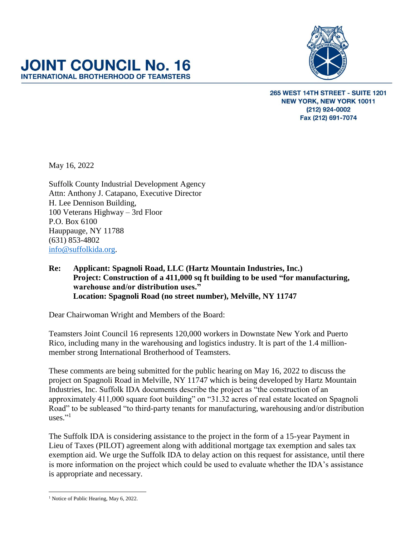

265 WEST 14TH STREET - SUITE 1201 **NEW YORK, NEW YORK 10011** (212) 924-0002 Fax (212) 691-7074

May 16, 2022

Suffolk County Industrial Development Agency Attn: Anthony J. Catapano, Executive Director H. Lee Dennison Building, 100 Veterans Highway – 3rd Floor P.O. Box 6100 Hauppauge, NY 11788 (631) 853-4802 [info@suffolkida.org.](mailto:info@suffolkida.org)

**JOINT COUNCIL No. 16 INTERNATIONAL BROTHERHOOD OF TEAMSTERS** 

> **Re: Applicant: Spagnoli Road, LLC (Hartz Mountain Industries, Inc.) Project: Construction of a 411,000 sq ft building to be used "for manufacturing, warehouse and/or distribution uses." Location: Spagnoli Road (no street number), Melville, NY 11747**

Dear Chairwoman Wright and Members of the Board:

Teamsters Joint Council 16 represents 120,000 workers in Downstate New York and Puerto Rico, including many in the warehousing and logistics industry. It is part of the 1.4 millionmember strong International Brotherhood of Teamsters.

These comments are being submitted for the public hearing on May 16, 2022 to discuss the project on Spagnoli Road in Melville, NY 11747 which is being developed by Hartz Mountain Industries, Inc. Suffolk IDA documents describe the project as "the construction of an approximately 411,000 square foot building" on "31.32 acres of real estate located on Spagnoli Road" to be subleased "to third-party tenants for manufacturing, warehousing and/or distribution uses."<sup>1</sup>

The Suffolk IDA is considering assistance to the project in the form of a 15-year Payment in Lieu of Taxes (PILOT) agreement along with additional mortgage tax exemption and sales tax exemption aid. We urge the Suffolk IDA to delay action on this request for assistance, until there is more information on the project which could be used to evaluate whether the IDA's assistance is appropriate and necessary.

 $\overline{a}$ <sup>1</sup> Notice of Public Hearing, May 6, 2022.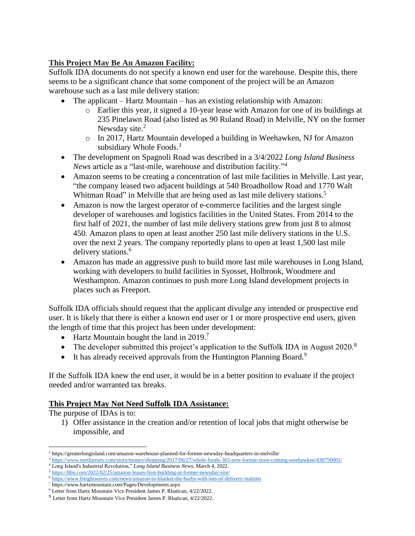# **This Project May Be An Amazon Facility:**

Suffolk IDA documents do not specify a known end user for the warehouse. Despite this, there seems to be a significant chance that some component of the project will be an Amazon warehouse such as a last mile delivery station:

- The applicant Hartz Mountain has an existing relationship with Amazon:
	- o Earlier this year, it signed a 10-year lease with Amazon for one of its buildings at 235 Pinelawn Road (also listed as 90 Ruland Road) in Melville, NY on the former Newsday site.<sup>2</sup>
	- o In 2017, Hartz Mountain developed a building in Weehawken, NJ for Amazon subsidiary Whole Foods.<sup>3</sup>
- The development on Spagnoli Road was described in a 3/4/2022 *Long Island Business News* article as a "last-mile, warehouse and distribution facility."<sup>4</sup>
- Amazon seems to be creating a concentration of last mile facilities in Melville. Last year, "the company leased two adjacent buildings at 540 Broadhollow Road and 1770 Walt Whitman Road" in Melville that are being used as last mile delivery stations.<sup>5</sup>
- Amazon is now the largest operator of e-commerce facilities and the largest single developer of warehouses and logistics facilities in the United States. From 2014 to the first half of 2021, the number of last mile delivery stations grew from just 8 to almost 450. Amazon plans to open at least another 250 last mile delivery stations in the U.S. over the next 2 years. The company reportedly plans to open at least 1,500 last mile delivery stations.<sup>6</sup>
- Amazon has made an aggressive push to build more last mile warehouses in Long Island, working with developers to build facilities in Syosset, Holbrook, Woodmere and Westhampton. Amazon continues to push more Long Island development projects in places such as Freeport.

Suffolk IDA officials should request that the applicant divulge any intended or prospective end user. It is likely that there is either a known end user or 1 or more prospective end users, given the length of time that this project has been under development:

- Hartz Mountain bought the land in 2019.<sup>7</sup>
- The developer submitted this project's application to the Suffolk IDA in August  $2020$ .<sup>8</sup>
- It has already received approvals from the Huntington Planning Board.<sup>9</sup>

If the Suffolk IDA knew the end user, it would be in a better position to evaluate if the project needed and/or warranted tax breaks.

## **This Project May Not Need Suffolk IDA Assistance:**

The purpose of IDAs is to:

1) Offer assistance in the creation and/or retention of local jobs that might otherwise be impossible, and

 $\overline{\phantom{a}}$ <sup>2</sup> <https://greaterlongisland.com/amazon-warehouse-planned-for-former-newsday-headquarters-in-melville/>

<sup>3</sup> <https://www.northjersey.com/story/money/shopping/2017/06/27/whole-foods-365-new-format-store-coming-weehawken/430750001/>

<sup>4</sup> Long Island's Industrial Revolution," *Long Island Business News*, March 4, 2022.

<sup>5</sup> <https://libn.com/2022/02/25/amazon-leases-first-building-at-former-newsday-site/> <sup>6</sup> <https://www.freightwaves.com/news/amazon-to-blanket-the-burbs-with-lots-of-delivery-stations>

<sup>7</sup> <https://www.hartzmountain.com/Pages/Developments.aspx>

<sup>8</sup> Letter from Hartz Mountain Vice President James P. Rhatican, 4/22/2022.

<sup>9</sup> Letter from Hartz Mountain Vice President James P. Rhatican, 4/22/2022.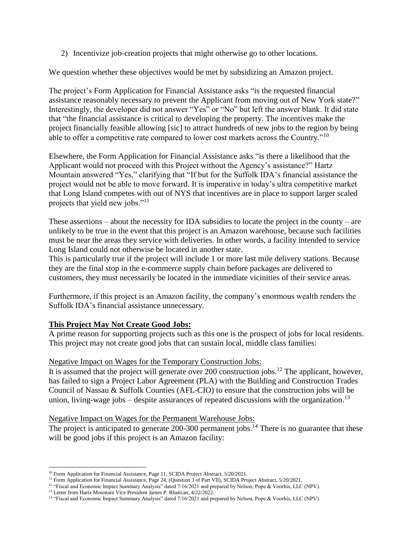2) Incentivize job-creation projects that might otherwise go to other locations.

We question whether these objectives would be met by subsidizing an Amazon project.

The project's Form Application for Financial Assistance asks "is the requested financial assistance reasonably necessary to prevent the Applicant from moving out of New York state?" Interestingly, the developer did not answer "Yes" or "No" but left the answer blank. It did state that "the financial assistance is critical to developing the property. The incentives make the project financially feasible allowing [sic] to attract hundreds of new jobs to the region by being able to offer a competitive rate compared to lower cost markets across the Country." $10$ 

Elsewhere, the Form Application for Financial Assistance asks "is there a likelihood that the Applicant would not proceed with this Project without the Agency's assistance?" Hartz Mountain answered "Yes," clarifying that "If but for the Suffolk IDA's financial assistance the project would not be able to move forward. It is imperative in today's ultra competitive market that Long Island competes with out of NYS that incentives are in place to support larger scaled projects that yield new jobs."<sup>11</sup>

These assertions – about the necessity for IDA subsidies to locate the project in the county – are unlikely to be true in the event that this project is an Amazon warehouse, because such facilities must be near the areas they service with deliveries. In other words, a facility intended to service Long Island could not otherwise be located in another state.

This is particularly true if the project will include 1 or more last mile delivery stations. Because they are the final stop in the e-commerce supply chain before packages are delivered to customers, they must necessarily be located in the immediate vicinities of their service areas.

Furthermore, if this project is an Amazon facility, the company's enormous wealth renders the Suffolk IDA's financial assistance unnecessary.

## **This Project May Not Create Good Jobs:**

A prime reason for supporting projects such as this one is the prospect of jobs for local residents. This project may not create good jobs that can sustain local, middle class families:

## Negative Impact on Wages for the Temporary Construction Jobs:

It is assumed that the project will generate over 200 construction jobs.<sup>12</sup> The applicant, however, has failed to sign a Project Labor Agreement (PLA) with the Building and Construction Trades Council of Nassau & Suffolk Counties (AFL-CIO) to ensure that the construction jobs will be union, living-wage jobs  $-$  despite assurances of repeated discussions with the organization.<sup>13</sup>

## Negative Impact on Wages for the Permanent Warehouse Jobs:

The project is anticipated to generate  $200-300$  permanent jobs.<sup>14</sup> There is no guarantee that these will be good jobs if this project is an Amazon facility:

l <sup>10</sup> Form Application for Financial Assistance, Page 11, SCIDA Project Abstract, 5/20/2021.

<sup>&</sup>lt;sup>11</sup> Form Application for Financial Assistance, Page 24, (Question 3 of Part VII), SCIDA Project Abstract, 5/20/2021.

<sup>&</sup>lt;sup>12</sup> "Fiscal and Economic Impact Summary Analysis" dated 7/16/2021 and prepared by Nelson, Pope & Voorhis, LLC (NPV).

<sup>&</sup>lt;sup>13</sup> Letter from Hartz Mountain Vice President James P. Rhatican, 4/22/2022.

<sup>&</sup>lt;sup>14</sup> "Fiscal and Economic Impact Summary Analysis" dated 7/16/2021 and prepared by Nelson, Pope & Voorhis, LLC (NPV).